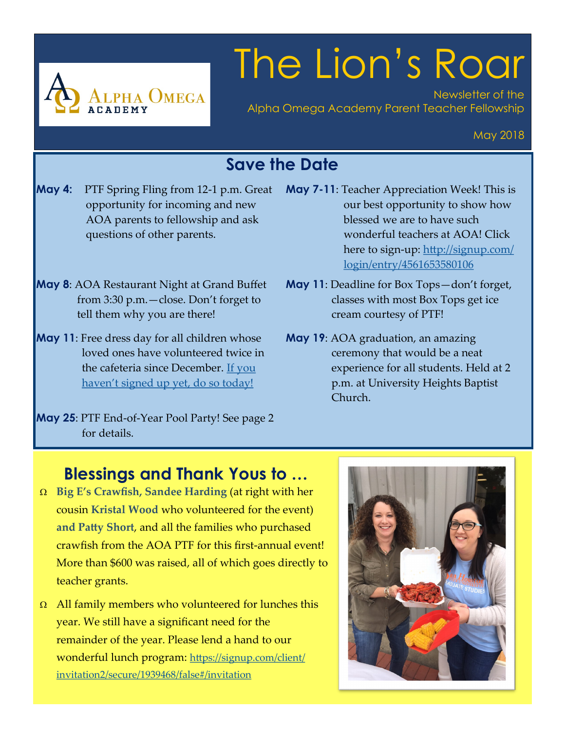

# The Lion's Roar

Newsletter of the Alpha Omega Academy Parent Teacher Fellowship

#### May 2018

### **Save the Date**

- **May 4:** PTF Spring Fling from 12-1 p.m. Great opportunity for incoming and new AOA parents to fellowship and ask questions of other parents.
- **May 8**: AOA Restaurant Night at Grand Buffet from 3:30 p.m.—close. Don't forget to tell them why you are there!
- **May 11**: Free dress day for all children whose loved ones have volunteered twice in the cafeteria since December. [If you](https://signup.com/client/invitation2/secure/1939468/false#/invitation)  haven'[t signed up yet, do so today!](https://signup.com/client/invitation2/secure/1939468/false#/invitation)
- **May 25**: PTF End-of-Year Pool Party! See page 2 for details.
- **May 7-11**: Teacher Appreciation Week! This is our best opportunity to show how blessed we are to have such wonderful teachers at AOA! Click here to sign-up: [http://signup.com/](http://signup.com/login/entry/4561653580106) [login/entry/4561653580106](http://signup.com/login/entry/4561653580106)
- **May 11**: Deadline for Box Tops—don't forget, classes with most Box Tops get ice cream courtesy of PTF!
- **May 19**: AOA graduation, an amazing ceremony that would be a neat experience for all students. Held at 2 p.m. at University Heights Baptist Church.

#### **Blessings and Thank Yous to …**

- **Big E's Crawfish, Sandee Harding** (at right with her cousin **Kristal Wood** who volunteered for the event) **and Patty Short**, and all the families who purchased crawfish from the AOA PTF for this first-annual event! More than \$600 was raised, all of which goes directly to teacher grants.
- $\Omega$  All family members who volunteered for lunches this year. We still have a significant need for the remainder of the year. Please lend a hand to our wonderful lunch program: [https://signup.com/client/](https://signup.com/client/invitation2/secure/1939468/false#/invitation) [invitation2/secure/1939468/false#/invitation](https://signup.com/client/invitation2/secure/1939468/false#/invitation)